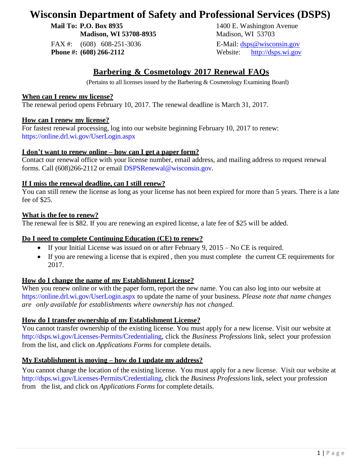# **Wisconsin Department of Safety and Professional Services (DSPS)**

**Mail To: P.O. Box 8935** 1400 E. Washington Avenue

FAX #: (608) 608-251-3036 E-Mail: [dsps@wisconsin.gov](mailto:dsps@wisconsin.gov)

**Madison, WI 53708-8935** Madison, WI 53703 **Phone #:** (608) 266-2112 Website: [http://dsps.wi.gov](http://dsps.wi.gov/)

# **Barbering & Cosmetology 2017 Renewal FAQs**

(Pertains to all licenses issued by the Barbering & Cosmetology Examining Board)

## **When can I renew my license?**

The renewal period opens February 10, 2017. The renewal deadline is March 31, 2017.

## **How can I renew my license?**

For fastest renewal processing, log into our website beginning February 10, 2017 to renew: <https://online.drl.wi.gov/UserLogin.aspx>

## **I don't want to renew online – how can I get a paper form?**

Contact our renewal office with your license number, email address, and mailing address to request renewal forms. Call (608)266-2112 or email [DSPSRenewal@wisconsin.gov.](mailto:DSPSRenewal@wisconsin.gov)

# **If I miss the renewal deadline, can I still renew?**

You can still renew the license as long as your license has not been expired for more than 5 years. There is a late fee of \$25.

## **What is the fee to renew?**

The renewal fee is \$82. If you are renewing an expired license, a late fee of \$25 will be added.

## **Do I need to complete Continuing Education (CE) to renew?**

- If your Initial License was issued on or after February 9,  $2015 No CE$  is required.
- If you are renewing a license that is expired , then you must complete the current CE requirements for 2017.

## **How do I change the name of my Establishment License?**

When you renew online or with the paper form, report the new name. You can also log into our website at <https://online.drl.wi.gov/UserLogin.aspx> to update the name of your business. *Please note that name changes are only available for establishments where ownership has not changed.*

## **How do I transfer ownership of my Establishment License?**

You cannot transfer ownership of the existing license. You must apply for a new license. Visit our website at [http://dsps.wi.gov/Licenses-Permits/Credentialing,](http://dsps.wi.gov/Licenses-Permits/Credentialing) click the *Business Professions* link, select your profession from the list, and click on *Applications Forms* for complete details.

## **My Establishment is moving – how do I update my address?**

You cannot change the location of the existing license. You must apply for a new license. Visit our website at [http://dsps.wi.gov/Licenses-Permits/Credentialing,](http://dsps.wi.gov/Licenses-Permits/Credentialing) click the *Business Professions* link, select your profession from the list, and click on *Applications Forms* for complete details.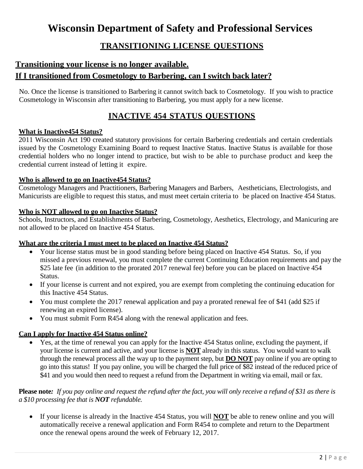# **Wisconsin Department of Safety and Professional Services**

# **TRANSITIONING LICENSE QUESTIONS**

# **Transitioning your license is no longer available.**

# **If I transitioned from Cosmetology to Barbering, can I switch back later?**

No. Once the license is transitioned to Barbering it cannot switch back to Cosmetology. If you wish to practice Cosmetology in Wisconsin after transitioning to Barbering, you must apply for a new license.

# **INACTIVE 454 STATUS QUESTIONS**

## **What is Inactive454 Status?**

2011 Wisconsin Act 190 created statutory provisions for certain Barbering credentials and certain credentials issued by the Cosmetology Examining Board to request Inactive Status. Inactive Status is available for those credential holders who no longer intend to practice, but wish to be able to purchase product and keep the credential current instead of letting it expire.

## **Who is allowed to go on Inactive454 Status?**

Cosmetology Managers and Practitioners, Barbering Managers and Barbers, Aestheticians, Electrologists, and Manicurists are eligible to request this status, and must meet certain criteria to be placed on Inactive 454 Status.

# **Who is NOT allowed to go on Inactive Status?**

Schools, Instructors, and Establishments of Barbering, Cosmetology, Aesthetics, Electrology, and Manicuring are not allowed to be placed on Inactive 454 Status.

## **What are the criteria I must meet to be placed on Inactive 454 Status?**

- Your license status must be in good standing before being placed on Inactive 454 Status. So, if you missed a previous renewal, you must complete the current Continuing Education requirements and pay the \$25 late fee (in addition to the prorated 2017 renewal fee) before you can be placed on Inactive 454 Status.
- If your license is current and not expired, you are exempt from completing the continuing education for this Inactive 454 Status.
- You must complete the 2017 renewal application and pay a prorated renewal fee of \$41 (add \$25 if renewing an expired license).
- You must submit Form R454 along with the renewal application and fees.

# **Can I apply for Inactive 454 Status online?**

 Yes, at the time of renewal you can apply for the Inactive 454 Status online, excluding the payment, if your license is current and active, and your license is **NOT** already in this status. You would want to walk through the renewal process all the way up to the payment step, but **DO NOT** pay online if you are opting to go into this status! If you pay online, you will be charged the full price of \$82 instead of the reduced price of \$41 and you would then need to request a refund from the Department in writing via email, mail or fax.

# **Please note***: If you pay online and request the refund after the fact, you will only receive a refund of \$31 as there is a \$10 processing fee that is NOT refundable.*

 If your license is already in the Inactive 454 Status, you will **NOT** be able to renew online and you will automatically receive a renewal application and Form R454 to complete and return to the Department once the renewal opens around the week of February 12, 2017.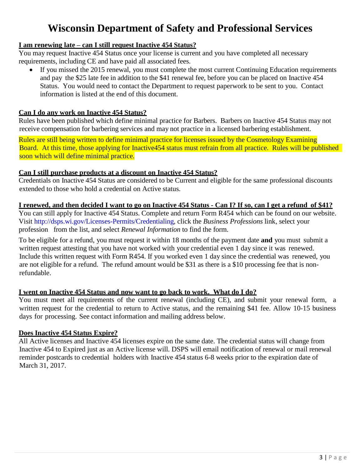# **Wisconsin Department of Safety and Professional Services**

# **I am renewing late – can I still request Inactive 454 Status?**

You may request Inactive 454 Status once your license is current and you have completed all necessary requirements, including CE and have paid all associated fees.

 If you missed the 2015 renewal, you must complete the most current Continuing Education requirements and pay the \$25 late fee in addition to the \$41 renewal fee, before you can be placed on Inactive 454 Status. You would need to contact the Department to request paperwork to be sent to you. Contact information is listed at the end of this document.

## **Can I do any work on Inactive 454 Status?**

Rules have been published which define minimal practice for Barbers. Barbers on Inactive 454 Status may not receive compensation for barbering services and may not practice in a licensed barbering establishment.

Rules are still being written to define minimal practice for licenses issued by the Cosmetology Examining Board. At this time, those applying for Inactive454 status must refrain from all practice. Rules will be published soon which will define minimal practice.

## **Can I still purchase products at a discount on Inactive 454 Status?**

Credentials on Inactive 454 Status are considered to be Current and eligible for the same professional discounts extended to those who hold a credential on Active status.

## I renewed, and then decided I want to go on Inactive 454 Status - Can I? If so, can I get a refund of \$41?

You can still apply for Inactive 454 Status. Complete and return Form R454 which can be found on our website. Visit [http://dsps.wi.gov/Licenses-Permits/Credentialing,](http://dsps.wi.gov/Licenses-Permits/Credentialing) click the *Business Professions* link, select your profession from the list, and select *Renewal Information* to find the form.

To be eligible for a refund, you must request it within 18 months of the payment date **and** you must submit a written request attesting that you have not worked with your credential even 1 day since it was renewed. Include this written request with Form R454. If you worked even 1 day since the credential was renewed, you are not eligible for a refund. The refund amount would be \$31 as there is a \$10 processing fee that is nonrefundable.

## **I went on Inactive 454 Status and now want to go back to work. What do I do?**

You must meet all requirements of the current renewal (including CE), and submit your renewal form, a written request for the credential to return to Active status, and the remaining \$41 fee. Allow 10-15 business days for processing. See contact information and mailing address below.

## **Does Inactive 454 Status Expire?**

All Active licenses and Inactive 454 licenses expire on the same date. The credential status will change from Inactive 454 to Expired just as an Active license will. DSPS will email notification of renewal or mail renewal reminder postcards to credential holders with Inactive 454 status 6-8 weeks prior to the expiration date of March 31, 2017.